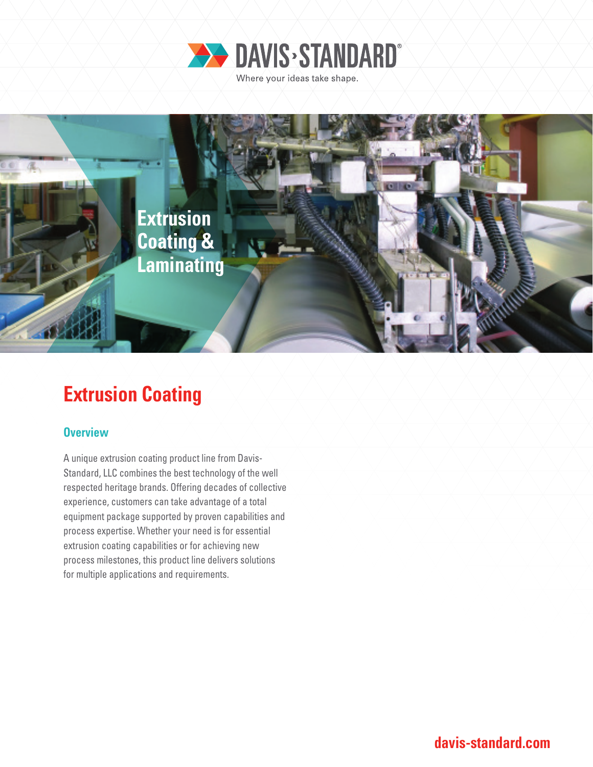



# **Extrusion Coating**

## **Overview**

A unique extrusion coating product line from Davis-Standard, LLC combines the best technology of the well respected heritage brands. Offering decades of collective experience, customers can take advantage of a total equipment package supported by proven capabilities and process expertise. Whether your need is for essential extrusion coating capabilities or for achieving new process milestones, this product line delivers solutions for multiple applications and requirements.

**davis-standard.com**